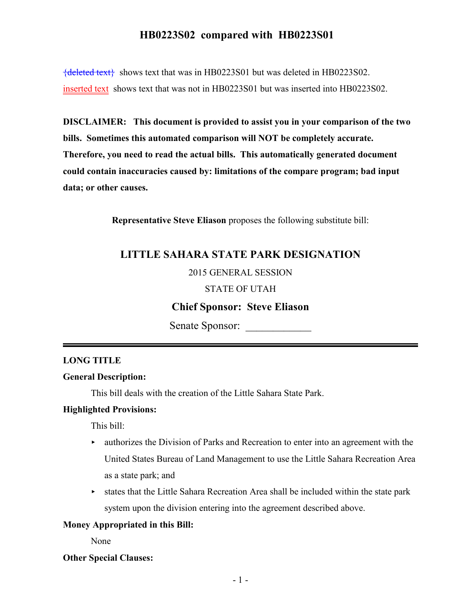# **HB0223S02 compared with HB0223S01**

{deleted text} shows text that was in HB0223S01 but was deleted in HB0223S02. inserted text shows text that was not in HB0223S01 but was inserted into HB0223S02.

**DISCLAIMER: This document is provided to assist you in your comparison of the two bills. Sometimes this automated comparison will NOT be completely accurate. Therefore, you need to read the actual bills. This automatically generated document could contain inaccuracies caused by: limitations of the compare program; bad input data; or other causes.**

**Representative Steve Eliason** proposes the following substitute bill:

## **LITTLE SAHARA STATE PARK DESIGNATION**

## 2015 GENERAL SESSION

#### STATE OF UTAH

## **Chief Sponsor: Steve Eliason**

Senate Sponsor:

### **LONG TITLE**

### **General Description:**

This bill deals with the creation of the Little Sahara State Park.

## **Highlighted Provisions:**

This bill:

- $\rightarrow$  authorizes the Division of Parks and Recreation to enter into an agreement with the United States Bureau of Land Management to use the Little Sahara Recreation Area as a state park; and
- $\triangleright$  states that the Little Sahara Recreation Area shall be included within the state park system upon the division entering into the agreement described above.

#### **Money Appropriated in this Bill:**

None

#### **Other Special Clauses:**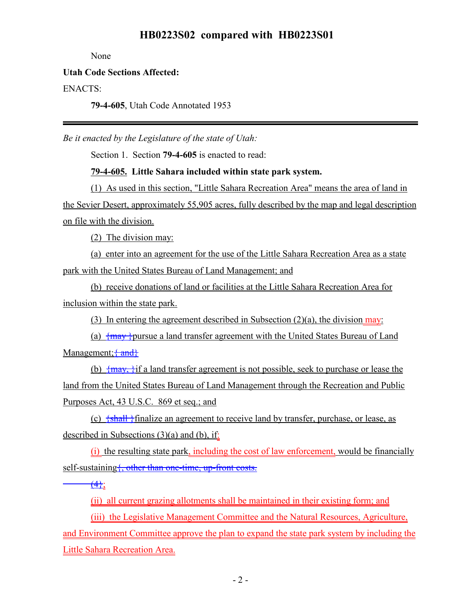# **HB0223S02 compared with HB0223S01**

None

## **Utah Code Sections Affected:**

ENACTS:

**79-4-605**, Utah Code Annotated 1953

*Be it enacted by the Legislature of the state of Utah:*

Section 1. Section **79-4-605** is enacted to read:

**79-4-605. Little Sahara included within state park system.**

(1) As used in this section, "Little Sahara Recreation Area" means the area of land in the Sevier Desert, approximately 55,905 acres, fully described by the map and legal description on file with the division.

(2) The division may:

(a) enter into an agreement for the use of the Little Sahara Recreation Area as a state park with the United States Bureau of Land Management; and

(b) receive donations of land or facilities at the Little Sahara Recreation Area for inclusion within the state park.

(3) In entering the agreement described in Subsection  $(2)(a)$ , the division may:

(a)  $\frac{1}{2}$   $\frac{1}{2}$   $\frac{1}{2}$  and transfer agreement with the United States Bureau of Land Management;  $\{\text{and}\}$ 

(b)  $\{\text{max}\}\$ if a land transfer agreement is not possible, seek to purchase or lease the land from the United States Bureau of Land Management through the Recreation and Public Purposes Act, 43 U.S.C. 869 et seq.; and

(c)  $\frac{\sinh\theta}{\sinh\theta}$  {shall} finalize an agreement to receive land by transfer, purchase, or lease, as described in Subsections  $(3)(a)$  and  $(b)$ , if:

(i) the resulting state park, including the cost of law enforcement, would be financially self-sustaining {, other than one-time, up-front costs.

 $\frac{4}{1}$ ;

(ii) all current grazing allotments shall be maintained in their existing form; and

(iii) the Legislative Management Committee and the Natural Resources, Agriculture, and Environment Committee approve the plan to expand the state park system by including the Little Sahara Recreation Area.